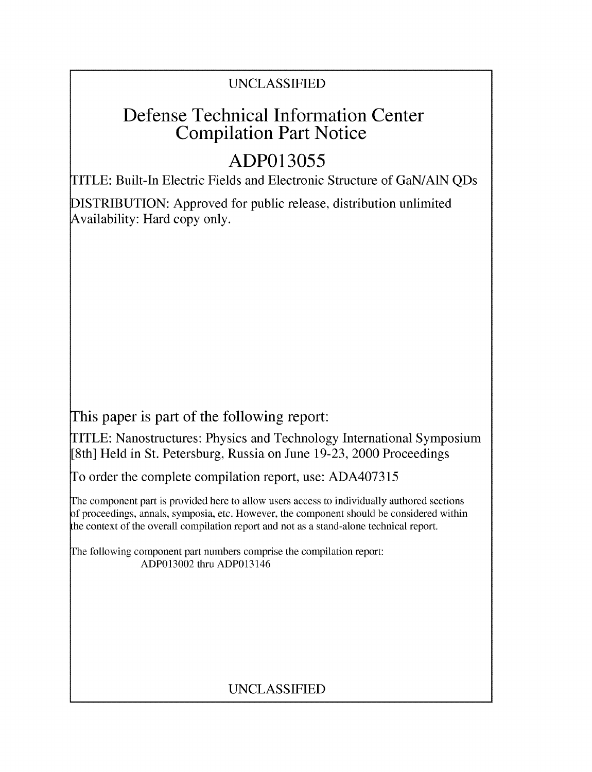## UNCLASSIFIED

## **Defense Technical Information Center Compilation Part Notice**

# **ADP013055**

TITLE: Built-In Electric Fields and Electronic Structure of GaN/A1N QDs

DISTRIBUTION: Approved for public release, distribution unlimited Availability: Hard copy only.

This paper is part of the following report:

TITLE: Nanostructures: Physics and Technology International Symposium [8th] Held in St. Petersburg, Russia on June 19-23, 2000 Proceedings

To order the complete compilation report, use: ADA407315

The component part is provided here to allow users access to individually authored sections f proceedings, annals, symposia, etc. However, the component should be considered within the context of the overall compilation report and not as a stand-alone technical report.

The following component part numbers comprise the compilation report: ADP013002 thru ADP013146

## UNCLASSIFIED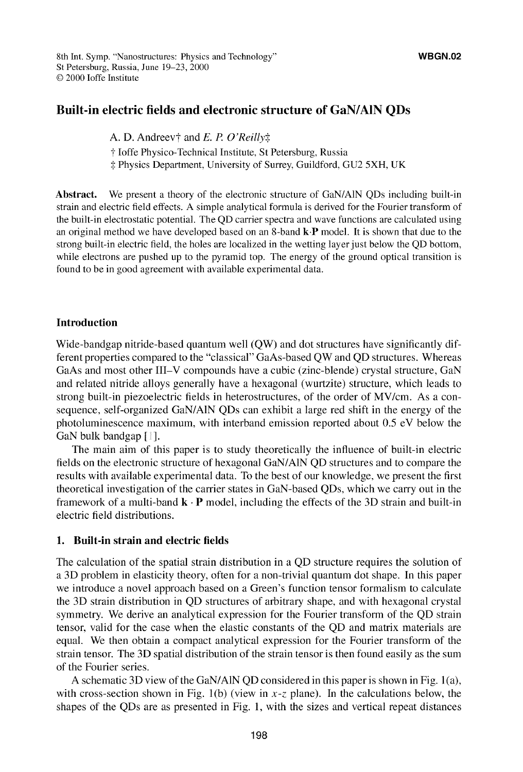#### **Built-in electric fields and electronic structure of GaN/AlN QDs**

A. D. Andreev<sup>†</sup> and *E. P. O'Reilly* $\ddagger$ 

**T** Joffe Physico-Technical Institute, St Petersburg, Russia

-: Physics Department, University of Surrey, Guildford, GU2 5XH, UK

**Abstract.** We present a theory of the electronic structure of GaN/AIN QDs including built-in strain and electric field effects. **A** simple analytical formula is derived for the Fourier transform of the built-in electrostatic potential. The QD carrier spectra and wave functions are calculated using an original method we have developed based on an 8-band *k-P* model. It is shown that due to the strong built-in electric field, the holes are localized in the wetting layer just below the QD bottom, while electrons are pushed up to the pyramid top. The energy of the ground optical transition is found to be in good agreement with available experimental data.

#### **Introduction**

Wide-bandgap nitride-based quantum well (QW) and dot structures have significantly different properties compared to the "classical" GaAs-based QW and QD structures. Whereas GaAs and most other III-V compounds have a cubic (zinc-blende) crystal structure, GaN and related nitride alloys generally have a hexagonal (wurtzite) structure, which leads to strong built-in piezoelectric fields in heterostructures, of the order of MV/cm. As a consequence, self-organized GaN/AIN QDs can exhibit a large red shift in the energy of the photoluminescence maximum, with interband emission reported about 0.5 eV below the GaN bulk bandgap **[ 1.**

The main aim of this paper is to study theoretically the influence of built-in electric fields on the electronic structure of hexagonal GaN/AIN QD structures and to compare the results with available experimental data. To the best of our knowledge, we present the first theoretical investigation of the carrier states in GaN-based QDs, which we carry out in the framework of a multi-band  $\mathbf{k} \cdot \mathbf{P}$  model, including the effects of the 3D strain and built-in electric field distributions.

#### **1. Built-in strain and electric fields**

The calculation of the spatial strain distribution in a **QD** structure requires the solution of a **3D** problem in elasticity theory, often for a non-trivial quantum dot shape. In this paper we introduce a novel approach based on a Green's function tensor formalism to calculate the 3D strain distribution in QD structures of arbitrary shape, and with hexagonal crystal symmetry. We derive an analytical expression for the Fourier transform of the QD strain tensor, valid for the case when the elastic constants of the QD and matrix materials are equal. We then obtain a compact analytical expression for the Fourier transform of the strain tensor. The 3D spatial distribution of the strain tensor is then found easily as the sum of the Fourier series.

A schematic 3D view of the GaN/AIN QD considered in this paper is shown in Fig. 1 (a), with cross-section shown in Fig. 1(b) (view in  $x-z$  plane). In the calculations below, the shapes of the QDs are as presented in Fig. 1, with the sizes and vertical repeat distances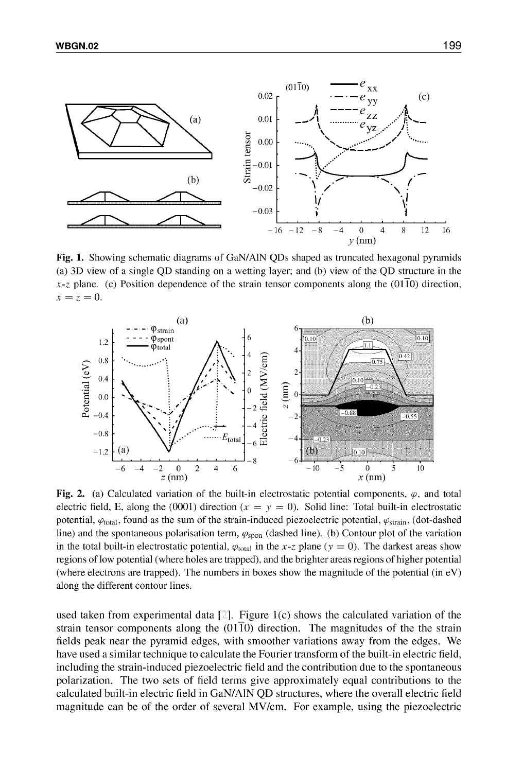

Fig. **1.** Showing schematic diagrams of GaN/AIN QDs shaped as truncated hexagonal pyramids (a) 3D view of a single QD standing on a wetting layer; and (b) view of the QD structure in the  $x-z$  plane. (c) Position dependence of the strain tensor components along the (01T0) direction,  $x = z = 0.$ 



Fig. 2. (a) Calculated variation of the built-in electrostatic potential components,  $\varphi$ , and total electric field, **E**, along the (0001) direction ( $x = y = 0$ ). Solid line: Total built-in electrostatic potential,  $\varphi_{\text{total}}$ , found as the sum of the strain-induced piezoelectric potential,  $\varphi_{\text{strain}}$ , (dot-dashed line) and the spontaneous polarisation term,  $\varphi_{\text{spon}}$  (dashed line). (b) Contour plot of the variation in the total built-in electrostatic potential,  $\varphi_{\text{total}}$  in the x-z plane (y = 0). The darkest areas show regions of low potential (where holes are trapped), and the brighter areas regions of higher potential (where electrons are trapped). The numbers in boxes show the magnitude of the potential (in  $eV$ ) along the different contour lines.

used taken from experimental data  $[2]$ . Figure 1(c) shows the calculated variation of the strain tensor components along the  $(01\overline{1}0)$  direction. The magnitudes of the the strain fields peak near the pyramid edges, with smoother variations away from the edges. We have used a similar technique to calculate the Fourier transform of the built-in electric field, including the strain-induced piezoelectric field and the contribution due to the spontaneous polarization. The two sets of field terms give approximately equal contributions to the calculated built-in electric field in GaN/A1N QD structures, where the overall electric field magnitude can be of the order of several MV/cm. For example, using the piezoelectric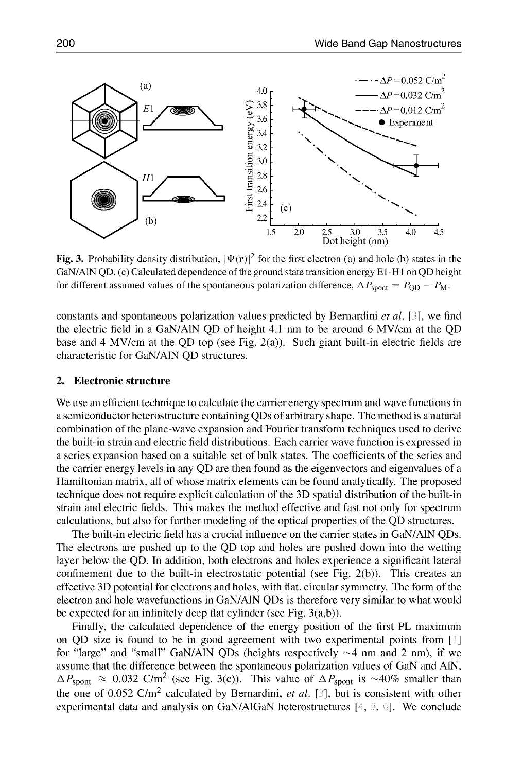

**Fig. 3.** Probability density distribution,  $|\Psi(\mathbf{r})|^2$  for the first electron (a) and hole (b) states in the GaN/AIN QD. (c) Calculated dependence of the ground state transition energy **El** -H **I** on **QD** height for different assumed values of the spontaneous polarization difference,  $\Delta P_{\text{spont}} = P_{\text{OD}} - P_{\text{M}}$ .

constants and spontaneous polarization values predicted by Bernardini *et al. [* **],** we find the electric field in a GaN/AIN QD of height 4.1 nm to be around 6 MV/cm at the QD base and 4 MV/cm at the QD top (see Fig. 2(a)). Such giant built-in electric fields are characteristic for GaN/AIN QD structures.

#### **2. Electronic structure**

We use an efficient technique to calculate the carrier energy spectrum and wave functions in a semiconductor heterostructure containing QDs of arbitrary shape. The method is a natural combination of the plane-wave expansion and Fourier transform techniques used to derive the built-in strain and electric field distributions. Each carrier wave function is expressed in a series expansion based on a suitable set of bulk states. The coefficients of the series and the carrier energy levels in any QD are then found as the eigenvectors and eigenvalues of a Hamiltonian matrix, all of whose matrix elements can be found analytically. The proposed technique does not require explicit calculation of the 3D spatial distribution of the built-in strain and electric fields. This makes the method effective and fast not only for spectrum calculations, but also for further modeling of the optical properties of the QD structures.

The built-in electric field has a crucial influence on the carrier states in GaN/AIN QDs. The electrons are pushed up to the QD top and holes are pushed down into the wetting layer below the QD. In addition, both electrons and holes experience a significant lateral confinement due to the built-in electrostatic potential (see Fig. 2(b)). This creates an effective 3D potential for electrons and holes, with flat, circular symmetry. The form of the electron and hole wavefunctions in GaN/AIN QDs is therefore very similar to what would be expected for an infinitely deep flat cylinder (see Fig. 3(a,b)).

Finally, the calculated dependence of the energy position of the first PL maximum on QD size is found to be in good agreement with two experimental points from **[ ]** for "large" and "small" GaN/AIN QDs (heights respectively  $\sim$ 4 nm and 2 nm), if we assume that the difference between the spontaneous polarization values of GaN and AIN,  $\Delta P_{\text{spont}} \approx 0.032 \text{ C/m}^2$  (see Fig. 3(c)). This value of  $\Delta P_{\text{spont}}$  is ~40% smaller than the one of 0.052 C/m<sup>2</sup> calculated by Bernardini, *et al.* [3], but is consistent with other experimental data and analysis on GaN/AlGaN heterostructures  $[4, 5, 6]$ . We conclude